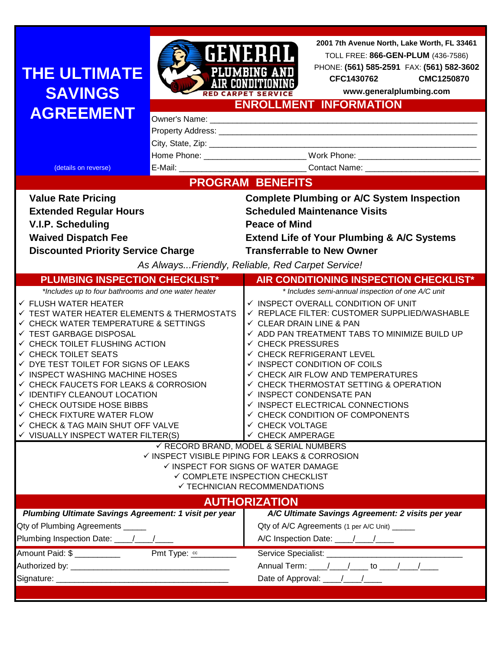# **THE ULTIMATE SAVINGS**



**2001 7th Avenue North, Lake Worth, FL 33461** TOLL FREE: **866-GEN-PLUM** (436-7586) PHONE: **(561) 585-2591** FAX: **(561) 582-3602**

**CFC1426154 CMC1250275**

| <b>I I IL VL I IIVIA I L</b><br><b>SAVINGS</b>                                                       |                                                            | <b>AIR CONDITIONI</b>                                             | CFC1430762<br>www.generalplumbing.com              | CMC1250870 |  |  |
|------------------------------------------------------------------------------------------------------|------------------------------------------------------------|-------------------------------------------------------------------|----------------------------------------------------|------------|--|--|
|                                                                                                      | <b>RED CARPET SERVICE</b><br><b>ENROLLMENT INFORMATION</b> |                                                                   |                                                    |            |  |  |
| <b>AGREEMENT</b>                                                                                     |                                                            |                                                                   |                                                    |            |  |  |
|                                                                                                      |                                                            |                                                                   |                                                    |            |  |  |
|                                                                                                      |                                                            |                                                                   |                                                    |            |  |  |
|                                                                                                      |                                                            |                                                                   |                                                    |            |  |  |
| (details on reverse)                                                                                 |                                                            |                                                                   |                                                    |            |  |  |
| <b>PROGRAM BENEFITS</b>                                                                              |                                                            |                                                                   |                                                    |            |  |  |
| <b>Value Rate Pricing</b>                                                                            |                                                            |                                                                   | <b>Complete Plumbing or A/C System Inspection</b>  |            |  |  |
| <b>Extended Regular Hours</b>                                                                        |                                                            | <b>Scheduled Maintenance Visits</b>                               |                                                    |            |  |  |
| V.I.P. Scheduling                                                                                    |                                                            | <b>Peace of Mind</b>                                              |                                                    |            |  |  |
| <b>Waived Dispatch Fee</b>                                                                           |                                                            | <b>Extend Life of Your Plumbing &amp; A/C Systems</b>             |                                                    |            |  |  |
| <b>Discounted Priority Service Charge</b>                                                            |                                                            | <b>Transferrable to New Owner</b>                                 |                                                    |            |  |  |
| As AlwaysFriendly, Reliable, Red Carpet Service!                                                     |                                                            |                                                                   |                                                    |            |  |  |
| <b>PLUMBING INSPECTION CHECKLIST*</b>                                                                |                                                            |                                                                   | AIR CONDITIONING INSPECTION CHECKLIST*             |            |  |  |
| *Includes up to four bathrooms and one water heater                                                  |                                                            |                                                                   | * Includes semi-annual inspection of one A/C unit  |            |  |  |
| $\checkmark$ FLUSH WATER HEATER                                                                      |                                                            | ✓ INSPECT OVERALL CONDITION OF UNIT                               |                                                    |            |  |  |
| $\checkmark$ TEST WATER HEATER ELEMENTS & THERMOSTATS                                                |                                                            | √ REPLACE FILTER: CUSTOMER SUPPLIED/WASHABLE                      |                                                    |            |  |  |
| $\checkmark$ CHECK WATER TEMPERATURE & SETTINGS                                                      |                                                            | $\checkmark$ CLEAR DRAIN LINE & PAN                               |                                                    |            |  |  |
| √ TEST GARBAGE DISPOSAL                                                                              |                                                            | ✓ ADD PAN TREATMENT TABS TO MINIMIZE BUILD UP                     |                                                    |            |  |  |
| $\checkmark$ CHECK TOILET FLUSHING ACTION                                                            |                                                            | $\checkmark$ CHECK PRESSURES                                      |                                                    |            |  |  |
| <b>V CHECK TOILET SEATS</b><br>$\checkmark$ DYE TEST TOILET FOR SIGNS OF LEAKS                       |                                                            | ← CHECK REFRIGERANT LEVEL                                         |                                                    |            |  |  |
| $\checkmark$ INSPECT WASHING MACHINE HOSES                                                           |                                                            | ✓ INSPECT CONDITION OF COILS<br>✓ CHECK AIR FLOW AND TEMPERATURES |                                                    |            |  |  |
| $\checkmark$ CHECK FAUCETS FOR LEAKS & CORROSION                                                     |                                                            | ✓ CHECK THERMOSTAT SETTING & OPERATION                            |                                                    |            |  |  |
| ✓ IDENTIFY CLEANOUT LOCATION                                                                         |                                                            | √ INSPECT CONDENSATE PAN                                          |                                                    |            |  |  |
| <b>V CHECK OUTSIDE HOSE BIBBS</b>                                                                    |                                                            | $\checkmark$ INSPECT ELECTRICAL CONNECTIONS                       |                                                    |            |  |  |
| $\checkmark$ CHECK FIXTURE WATER FLOW                                                                |                                                            | <b>✓ CHECK CONDITION OF COMPONENTS</b>                            |                                                    |            |  |  |
| $\checkmark$ CHECK & TAG MAIN SHUT OFF VALVE                                                         |                                                            | √ CHECK VOLTAGE                                                   |                                                    |            |  |  |
| $\checkmark$ VISUALLY INSPECT WATER FILTER(S)                                                        | √ CHECK AMPERAGE                                           |                                                                   |                                                    |            |  |  |
|                                                                                                      | ✓ RECORD BRAND, MODEL & SERIAL NUMBERS                     |                                                                   |                                                    |            |  |  |
|                                                                                                      | ✓ INSPECT VISIBLE PIPING FOR LEAKS & CORROSION             |                                                                   |                                                    |            |  |  |
| ✓ INSPECT FOR SIGNS OF WATER DAMAGE                                                                  |                                                            |                                                                   |                                                    |            |  |  |
| ✓ COMPLETE INSPECTION CHECKLIST                                                                      |                                                            |                                                                   |                                                    |            |  |  |
| ✓ TECHNICIAN RECOMMENDATIONS                                                                         |                                                            |                                                                   |                                                    |            |  |  |
| <b>AUTHORIZATION</b>                                                                                 |                                                            |                                                                   |                                                    |            |  |  |
| <b>Plumbing Ultimate Savings Agreement: 1 visit per year</b>                                         | A/C Ultimate Savings Agreement: 2 visits per year          |                                                                   |                                                    |            |  |  |
| 2ty of Plumbing Agreements _____                                                                     |                                                            | Qty of A/C Agreements (1 per A/C Unit) _____                      |                                                    |            |  |  |
| Plumbing Inspection Date: \[\starsqrtdgene{\math{\starsqrtdgene{\math{\starsqrtdgene{\math{\starsqrt |                                                            |                                                                   | A/C Inspection Date: $\frac{1}{2}$ / $\frac{1}{2}$ |            |  |  |
| Amount Paid: \$<br>Pmt Tyne: cc                                                                      |                                                            | Service Specialist:                                               |                                                    |            |  |  |

| <b>AUTHORIZATION</b>                                                      |                                                   |  |  |  |  |
|---------------------------------------------------------------------------|---------------------------------------------------|--|--|--|--|
| <b>Plumbing Ultimate Savings Agreement: 1 visit per year</b>              | A/C Ultimate Savings Agreement: 2 visits per year |  |  |  |  |
| Qty of Plumbing Agreements _____                                          | Qty of A/C Agreements (1 per A/C Unit) ______     |  |  |  |  |
| Plumbing Inspection Date: \[\starsqrtdgene{\infty_{\starsqrtdgene{math}}} | A/C Inspection Date: \[\squad \]                  |  |  |  |  |
| Amount Paid: \$<br>Pmt Type: $cc$                                         |                                                   |  |  |  |  |
| Authorized by: _________________________________                          | Annual Term: ____/____/____ to ____/____/_____    |  |  |  |  |
|                                                                           |                                                   |  |  |  |  |
|                                                                           |                                                   |  |  |  |  |